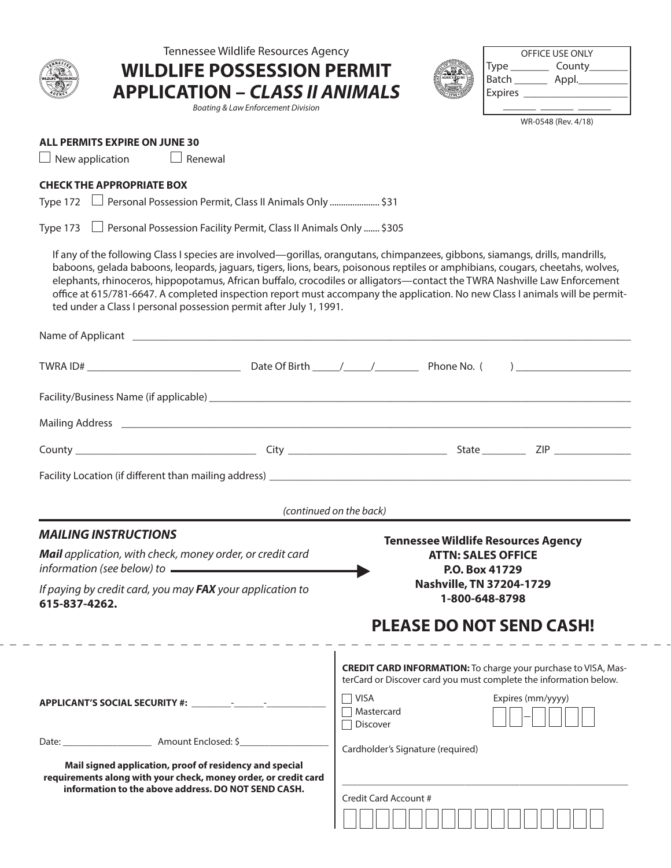

Tennessee Wildlife Resources Agency

**APPLICATION –** *CLASS II ANIMALS*

*Boating & Law Enforcement Division*

**WILDLIFE POSSESSION PERMIT**

| OFFICE USE ONLY |        |  |  |
|-----------------|--------|--|--|
| <b>Type</b>     | County |  |  |
| Batch           | Appl.  |  |  |
| Expires         |        |  |  |
|                 |        |  |  |

WR-0548 (Rev. 4/18)

## **ALL PERMITS EXPIRE ON JUNE 30**

 $\Box$  New application  $\Box$  Renewal

## **CHECK THE APPROPRIATE BOX**

Type 172 Personal Possession Permit, Class II Animals Only ...................... \$31

Type 173 Personal Possession Facility Permit, Class II Animals Only ....... \$305

If any of the following Class I species are involved—gorillas, orangutans, chimpanzees, gibbons, siamangs, drills, mandrills, baboons, gelada baboons, leopards, jaguars, tigers, lions, bears, poisonous reptiles or amphibians, cougars, cheetahs, wolves, elephants, rhinoceros, hippopotamus, African buffalo, crocodiles or alligators—contact the TWRA Nashville Law Enforcement office at 615/781-6647. A completed inspection report must accompany the application. No new Class I animals will be permitted under a Class I personal possession permit after July 1, 1991.

|                                                                                                                                                                                   |                                                                                         | (continued on the back)                                                                                                                    |  |
|-----------------------------------------------------------------------------------------------------------------------------------------------------------------------------------|-----------------------------------------------------------------------------------------|--------------------------------------------------------------------------------------------------------------------------------------------|--|
| <b>MAILING INSTRUCTIONS</b>                                                                                                                                                       |                                                                                         |                                                                                                                                            |  |
|                                                                                                                                                                                   | Mail application, with check, money order, or credit card                               | <b>Tennessee Wildlife Resources Agency</b><br><b>ATTN: SALES OFFICE</b><br>P.O. Box 41729                                                  |  |
| 615-837-4262.                                                                                                                                                                     | If paying by credit card, you may FAX your application to                               | Nashville, TN 37204-1729<br>1-800-648-8798                                                                                                 |  |
|                                                                                                                                                                                   | _______________________                                                                 | <b>PLEASE DO NOT SEND CASH!</b><br>_ _ _ _ _ _ _ _ _ _ _ _ _ _ _ _ _ _                                                                     |  |
|                                                                                                                                                                                   |                                                                                         | <b>CREDIT CARD INFORMATION:</b> To charge your purchase to VISA, Mas-<br>terCard or Discover card you must complete the information below. |  |
|                                                                                                                                                                                   |                                                                                         | $\Box$ VISA<br>Expires (mm/yyyy)<br>□ Mastercard<br>□ Discover                                                                             |  |
|                                                                                                                                                                                   | Date: <u>____________________________</u> Amount Enclosed: \$__________________________ | Cardholder's Signature (required)                                                                                                          |  |
| Mail signed application, proof of residency and special<br>requirements along with your check, money order, or credit card<br>information to the above address. DO NOT SEND CASH. |                                                                                         |                                                                                                                                            |  |
|                                                                                                                                                                                   |                                                                                         | Credit Card Account #                                                                                                                      |  |
|                                                                                                                                                                                   |                                                                                         |                                                                                                                                            |  |